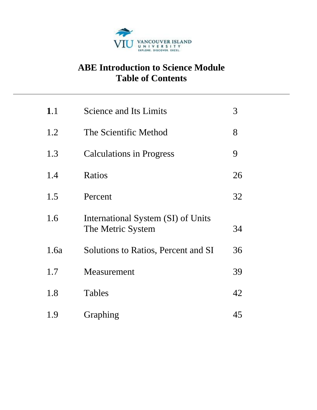

# **ABE Introduction to Science Module Table of Contents**

| 1.1  | <b>Science and Its Limits</b>                           | 3  |
|------|---------------------------------------------------------|----|
| 1.2  | The Scientific Method                                   | 8  |
| 1.3  | <b>Calculations in Progress</b>                         | 9  |
| 1.4  | Ratios                                                  | 26 |
| 1.5  | Percent                                                 | 32 |
| 1.6  | International System (SI) of Units<br>The Metric System | 34 |
| 1.6a | Solutions to Ratios, Percent and SI                     | 36 |
| 1.7  | Measurement                                             | 39 |
| 1.8  | Tables                                                  | 42 |
| 1.9  | Graphing                                                | 45 |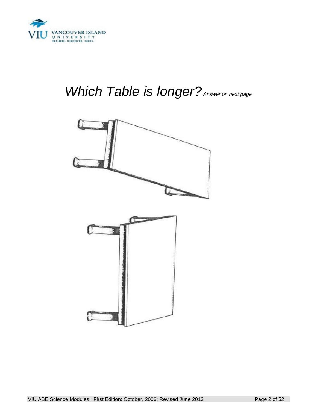

# *Which Table is longer? Answer on next page*

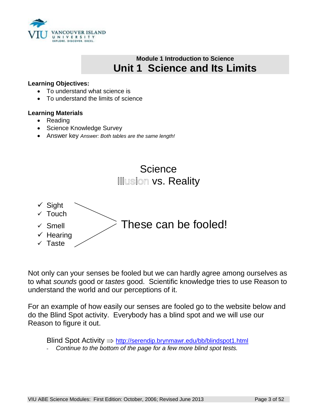

# **Module 1 Introduction to Science Unit 1 Science and Its Limits**

#### **Learning Objectives:**

- To understand what science is
- To understand the limits of science

#### **Learning Materials**

- Reading
- Science Knowledge Survey
- Answer key *Answer: Both tables are the same length!*

# Science Illusion vs. Reality



Not only can your senses be fooled but we can hardly agree among ourselves as to what *sounds* good or *tastes* good. Scientific knowledge tries to use Reason to understand the world and our perceptions of it.

For an example of how easily our senses are fooled go to the website below and do the Blind Spot activity. Everybody has a blind spot and we will use our Reason to figure it out.

Blind Spot Activity  $\Rightarrow$  <http://serendip.brynmawr.edu/bb/blindspot1.html> *- Continue to the bottom of the page for a few more blind spot tests.*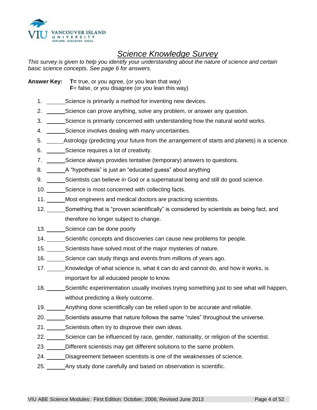

# *Science Knowledge Survey*

*This survey is given to help you identify your understanding about the nature of science and certain basic science concepts. See page 6 for answers.*

- **Answer Key: T=** true, or you agree, (or you lean that way) **F**= false, or you disagree (or you lean this way)
	- 1. \_\_\_\_\_\_\_\_\_Science is primarily a method for inventing new devices.
	- 2. \_\_\_\_\_\_\_Science can prove anything, solve any problem, or answer any question.
	- 3. Science is primarily concerned with understanding how the natural world works.
	- 4. Science involves dealing with many uncertainties.
	- 5. Astrology (predicting your future from the arrangement of starts and planets) is a science.
	- 6. Science requires a lot of creativity.
	- 7. \_\_\_\_\_\_\_\_Science always provides tentative (temporary) answers to questions.
	- 8. A "hypothesis" is just an "educated guess" about anything
	- 9. Scientists can believe in God or a supernatural being and still do good science.
	- 10. Science is most concerned with collecting facts.
	- 11. \_\_\_\_\_\_\_Most engineers and medical doctors are practicing scientists.
	- 12. Something that is "proven scientifically" is considered by scientists as being fact, and therefore no longer subject to change.
	- 13. Science can be done poorly
	- 14. Scientific concepts and discoveries can cause new problems for people.
	- 15. Scientists have solved most of the major mysteries of nature.
	- 16. Science can study things and events from millions of years ago.
	- 17. \_\_\_\_\_\_\_ Knowledge of what science is, what it can do and cannot do, and how it works, is important for all educated people to know.
	- 18. Scientific experimentation usually involves trying something just to see what will happen, without predicting a likely outcome.
	- 19. \_\_\_\_\_\_\_ Anything done scientifically can be relied upon to be accurate and reliable.
	- 20. Scientists assume that nature follows the same "rules" throughout the universe.
	- 21. Scientists often try to disprove their own ideas.
	- 22. Science can be influenced by race, gender, nationality, or religion of the scientist.
	- 23. Different scientists may get different solutions to the same problem.
	- 24. Disagreement between scientists is one of the weaknesses of science.
	- 25. \_\_\_\_\_\_\_ Any study done carefully and based on observation is scientific.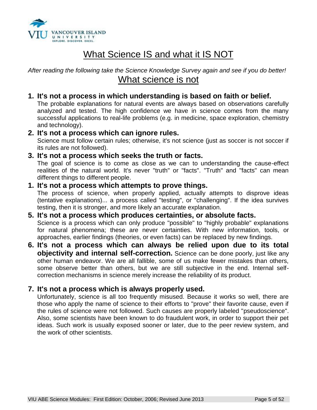

# What Science IS and what it IS NOT

*After reading the following take the Science Knowledge Survey again and see if you do better!* What science is not

### **1. It's not a process in which understanding is based on faith or belief.**

The probable explanations for natural events are always based on observations carefully analyzed and tested. The high confidence we have in science comes from the many successful applications to real-life problems (e.g. in medicine, space exploration, chemistry and technology).

#### **2. It's not a process which can ignore rules.**

Science must follow certain rules; otherwise, it's not science (just as soccer is not soccer if its rules are not followed).

### **3. It's not a process which seeks the truth or facts.**

The goal of science is to come as close as we can to understanding the cause-effect realities of the natural world. It's never "truth" or "facts". "Truth" and "facts" can mean different things to different people.

#### **1. It's not a process which attempts to prove things.**

The process of science, when properly applied, actually attempts to disprove ideas (tentative explanations)... a process called "testing", or "challenging". If the idea survives testing, then it is stronger, and more likely an accurate explanation.

#### **5. It's not a process which produces certainties, or absolute facts.** Science is a process which can only produce "possible" to "highly probable" explanations for natural phenomena; these are never certainties. With new information, tools, or approaches, earlier findings (theories, or even facts) can be replaced by new findings.

**6. It's not a process which can always be relied upon due to its total objectivity and internal self-correction.** Science can be done poorly, just like any other human endeavor. We are all fallible, some of us make fewer mistakes than others, some observe better than others, but we are still subjective in the end. Internal selfcorrection mechanisms in science merely increase the reliability of its product.

### **7. It's not a process which is always properly used.**

Unfortunately, science is all too frequently misused. Because it works so well, there are those who apply the name of science to their efforts to "prove" their favorite cause, even if the rules of science were not followed. Such causes are properly labeled "pseudoscience". Also, some scientists have been known to do fraudulent work, in order to support their pet ideas. Such work is usually exposed sooner or later, due to the peer review system, and the work of other scientists.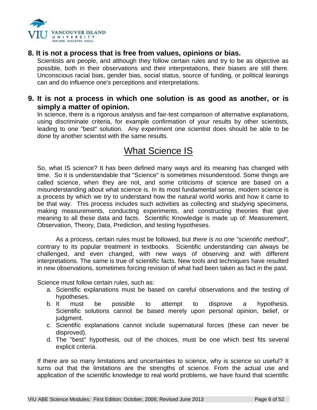

### **8. It is not a process that is free from values, opinions or bias.**

Scientists are people, and although they follow certain rules and try to be as objective as possible, both in their observations and their interpretations, their biases are still there. Unconscious racial bias, gender bias, social status, source of funding, or political leanings can and do influence one's perceptions and interpretations.

### **9. It is not a process in which one solution is as good as another, or is simply a matter of opinion.**

In science, there is a rigorous analysis and fair-test comparison of alternative explanations, using discriminate criteria, for example confirmation of your results by other scientists, leading to one "best" solution. Any experiment one scientist does should be able to be done by another scientist with the same results.

# What Science IS

So, what IS science? It has been defined many ways and its meaning has changed with time. So it is understandable that "Science" is sometimes misunderstood. Some things are called science, when they are not, and some criticisms of science are based on a misunderstanding about what science is. In its most fundamental sense, modern science is a process by which we try to understand how the natural world works and how it came to be that way. This process includes such activities as collecting and studying specimens, making measurements, conducting experiments, and constructing theories that give meaning to all these data and facts. Scientific Knowledge is made up of: Measurement, Observation, Theory, Data, Prediction, and testing hypotheses.

As a process, certain rules must be followed, but *there is no one "scientific method"*, contrary to its popular treatment in textbooks. Scientific understanding can always be challenged, and even changed, with new ways of observing and with different interpretations. The same is true of scientific facts. New tools and techniques have resulted in new observations, sometimes forcing revision of what had been taken as fact in the past.

Science must follow certain rules, such as:

- a. Scientific explanations must be based on careful observations and the testing of hypotheses.
- b. It must be possible to attempt to disprove a hypothesis. Scientific solutions cannot be based merely upon personal opinion, belief, or judgment.
- c. Scientific explanations cannot include supernatural forces (these can never be disproved).
- d. The "best" hypothesis, out of the choices, must be one which best fits several explicit criteria.

If there are so many limitations and uncertainties to science, why is science so useful? It turns out that the limitations are the strengths of science. From the actual use and application of the scientific knowledge to real world problems, we have found that scientific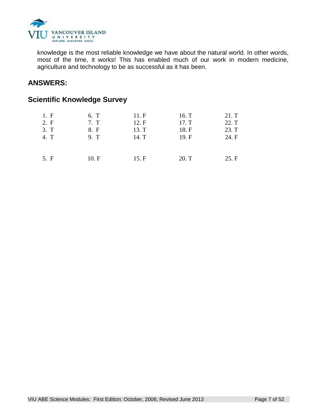

knowledge is the most reliable knowledge we have about the natural world. In other words, most of the time, it works! This has enabled much of our work in modern medicine, agriculture and technology to be as successful as it has been.

# **ANSWERS:**

### **Scientific Knowledge Survey**

| 1. F | 6. T | 11. F | 16. T | 21. T |
|------|------|-------|-------|-------|
| 2. F | 7. T | 12. F | 17. T | 22. T |
| 3. T | 8. F | 13. T | 18. F | 23. T |
| 4. T | 9. T | 14. T | 19. F | 24. F |
|      |      |       |       |       |
|      |      |       |       |       |
| 5. F | 10.F | 15.F  | 20. T | 25.F  |
|      |      |       |       |       |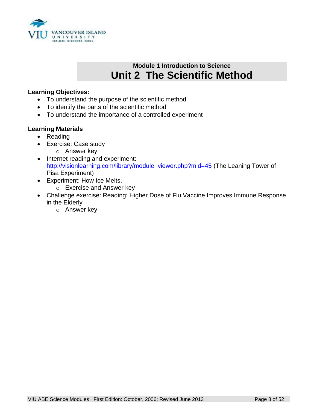

# **Module 1 Introduction to Science Unit 2 The Scientific Method**

#### **Learning Objectives:**

- To understand the purpose of the scientific method
- To identify the parts of the scientific method
- To understand the importance of a controlled experiment

#### **Learning Materials**

- Reading
- Exercise: Case study o Answer key
- Internet reading and experiment: [http://visionlearning.com/library/module\\_viewer.php?mid=45](http://visionlearning.com/library/module_viewer.php?mid=45) (The Leaning Tower of Pisa Experiment)
- Experiment: How Ice Melts.
	- o Exercise and Answer key
- Challenge exercise: Reading: Higher Dose of Flu Vaccine Improves Immune Response in the Elderly
	- o Answer key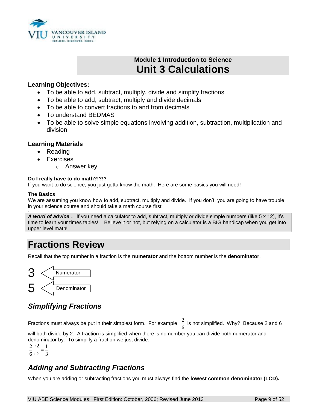

# **Module 1 Introduction to Science Unit 3 Calculations**

#### **Learning Objectives:**

- To be able to add, subtract, multiply, divide and simplify fractions
- To be able to add, subtract, multiply and divide decimals
- To be able to convert fractions to and from decimals
- To understand BEDMAS
- To be able to solve simple equations involving addition, subtraction, multiplication and division

#### **Learning Materials**

- Reading
- Exercises
	- o Answer key

#### **Do I really have to do math?!?!?**

If you want to do science, you just gotta know the math. Here are some basics you will need!

#### **The Basics**

.

We are assuming you know how to add, subtract, multiply and divide. If you don't, you are going to have trouble in your science course and should take a math course first

*A word of advice*... If you need a calculator to add, subtract, multiply or divide simple numbers (like 5 x 12), it's time to learn your times tables! Believe it or not, but relying on a calculator is a BIG handicap when you get into upper level math!

# **Fractions Review**

Recall that the top number in a fraction is the **numerator** and the bottom number is the **denominator**.



# *Simplifying Fractions*

Fractions must always be put in their simplest form. For example, 6  $\frac{2}{5}$  is not simplified. Why? Because 2 and 6

will both divide by 2. A fraction is simplified when there is no number you can divide both numerator and denominator by. To simplify a fraction we just divide:

3 1 2 2 6  $\frac{2}{6}$  $\frac{+2}{2}$  = ÷

# *Adding and Subtracting Fractions*

When you are adding or subtracting fractions you must always find the **lowest common denominator (LCD).**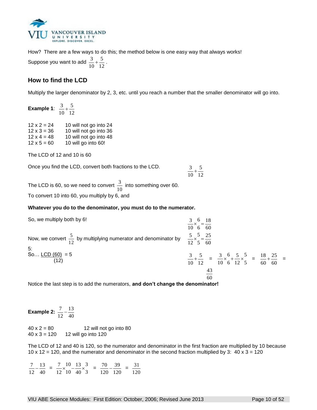

How? There are a few ways to do this; the method below is one easy way that always works! Suppose you want to add  $\frac{3}{10} + \frac{5}{12}$ 5 10  $\frac{3}{2} + \frac{5}{22}$ .

#### **How to find the LCD**

Multiply the larger denominator by 2, 3, etc. until you reach a number that the smaller denominator will go into.

**Example 1**:  $\frac{3}{10} + \frac{5}{12}$ 5 10  $\frac{3}{2}$ +

| $12 \times 2 = 24$ | 10 will not go into 24 |
|--------------------|------------------------|
| $12 \times 3 = 36$ | 10 will not go into 36 |
| $12 \times 4 = 48$ | 10 will not go into 48 |
| $12 \times 5 = 60$ | 10 will go into 60!    |

The LCD of 12 and 10 is 60

Once you find the LCD, convert both fractions to the LCD.  $\frac{3}{2}$ +

The LCD is 60, so we need to convert 10  $\frac{3}{2}$  into something over 60. To convert 10 into 60, you multiply by 6, and

#### **Whatever you do to the denominator, you must do to the numerator.**

So, we multiply both by 6!

| So, we multiply both by 6!                                                                                                   | $\frac{3}{2} \times 6 = \frac{18}{1}$                                                                                                |
|------------------------------------------------------------------------------------------------------------------------------|--------------------------------------------------------------------------------------------------------------------------------------|
|                                                                                                                              | $10 \t6 \t60$                                                                                                                        |
| Now, we convert $\frac{5}{12}$ by multiplying numerator and denominator by $\frac{5}{12} \times \frac{5}{5} = \frac{25}{60}$ |                                                                                                                                      |
| 5:<br>So LCD $(60) = 5$<br>(12)                                                                                              | $\frac{3}{10} + \frac{5}{12} = \frac{3}{10} \times \frac{6}{12} + \frac{5}{12} \times \frac{5}{5} = \frac{18}{60} + \frac{25}{60} =$ |
|                                                                                                                              | 43                                                                                                                                   |
|                                                                                                                              | 60                                                                                                                                   |

12 5

10

Notice the last step is to add the numerators, **and don't change the denominator!**

**Example 2:** 40 13 12  $\frac{7}{2}$  –  $40 \times 2 = 80$  12 will not go into 80  $40 \times 3 = 120$  12 will go into 120

The LCD of 12 and 40 is 120, so the numerator and denominator in the first fraction are multiplied by 10 because 10 x 12 = 120, and the numerator and denominator in the second fraction multiplied by 3: 40 x 3 = 120

40 13 12  $\frac{7}{12} - \frac{13}{40} = \frac{7}{12} \times \frac{10}{10} - \frac{13}{40} \times \frac{3}{3}$ 3 40 13 10 10 12  $\frac{7}{2} \times \frac{10}{10} - \frac{13}{10} \times \frac{3}{10} =$ 120 39 120  $\frac{70}{20} - \frac{39}{100} =$ 120 31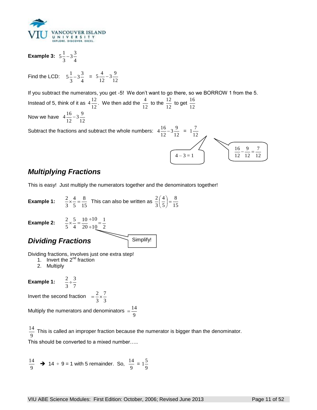

**Example 3:** 4  $\frac{1}{3}$  – 3 $\frac{3}{4}$  $5^{\frac{1}{2}-}$ 

Find the LCD: 4  $\frac{1}{3}$  – 3 $\frac{3}{4}$  $5\frac{1}{3} - 3\frac{3}{4}$  =  $5\frac{4}{12} - 3\frac{9}{12}$  $\frac{4}{12} - 3\frac{9}{12}$  $5\frac{4}{12}$  –

If you subtract the numerators, you get -5! We don't want to go there, so we BORROW 1 from the 5. Instead of 5, think of it as  $4\frac{12}{12}$ . We then add the  $\frac{4}{12}$  $\frac{4}{2}$  to the  $\frac{12}{12}$  $\frac{12}{12}$  to get  $\frac{16}{12}$ 16 Now we have  $4\frac{18}{12} - 3\frac{5}{12}$  $4\frac{16}{12} - 3\frac{9}{12}$ 



8

### *Multiplying Fractions*

This is easy! Just multiply the numerators together and the denominators together!

**Example 1:**  $\frac{2}{3} \times \frac{4}{5} = \frac{6}{15}$ 8 5 4 3  $\frac{2}{3} \times \frac{4}{5} = \frac{8}{15}$  This can also be written as  $\frac{2}{3} \left( \frac{4}{5} \right) = \frac{8}{15}$ 5 4 3  $\frac{2}{2} \left( \frac{4}{7} \right) =$ J  $\left(\frac{4}{7}\right)$ l ſ **Example 2:**  $\frac{2}{5} \times \frac{3}{4} = \frac{10}{20} \div 10 = \frac{1}{2}$ 1 10 10 20 10 4 5 5  $\frac{2}{5} \times \frac{5}{4} = \frac{10 \div 10}{20 \div 10} =$  $\times \frac{5}{1} = \frac{10}{20} \div 10 = \frac{1}{2}$ *Dividing Fractions* Dividing fractions, involves just one extra step! 1. Invert the  $2^{nd}$  fraction 2. Multiply **Example 1:**  $\frac{2}{3} \div \frac{3}{7}$ 3 3  $\frac{2}{2} \div \frac{3}{2}$ Invert the second fraction  $=$   $\frac{2}{3} \times \frac{7}{3}$ 7 3  $=\frac{2}{3} \times \frac{7}{5}$ Multiply the numerators and denominators 9  $=\frac{14}{1}$ 9  $\frac{14}{10}$  This is called an improper fraction because the numerator is bigger than the denominator. This should be converted to a mixed number….. Simplify!

9  $\frac{14}{1}$   $\rightarrow$  14  $\div$  9 = 1 with 5 remainder. So, 9  $\frac{14}{1}$  = 9  $1\frac{5}{5}$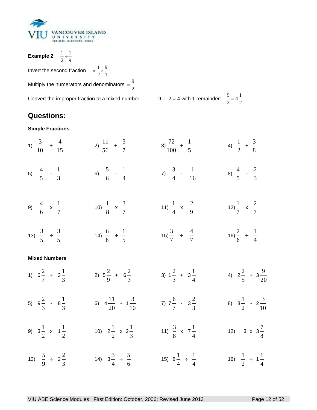

**Example 2**:  $\frac{1}{1}$ Invert the second fraction  $= \frac{1}{2} \times \frac{3}{1}$   $=\frac{1}{2}$ Multiply the numerators and denominators  $=$   $\frac{2}{2}$  $=\frac{9}{7}$ Convert the improper fraction to a mixed number:

 $\div$  2 = 4 with 1 remainder:  $\frac{2}{2}$  = 4 $\frac{1}{2}$  $\frac{9}{2} = 4\frac{1}{2}$  $\frac{9}{2}$  =

# **Questions:**

#### **Simple Fractions**

| 1) $\frac{3}{10}$ + $\frac{4}{15}$ |                                     | 2) $\frac{11}{56} + \frac{3}{7}$       | $3)\frac{72}{100} + \frac{1}{5}$      | 4) $\frac{1}{2}$ + $\frac{3}{8}$    |
|------------------------------------|-------------------------------------|----------------------------------------|---------------------------------------|-------------------------------------|
| 5) $\frac{4}{5}$ - $\frac{1}{3}$   |                                     | 6) $\frac{5}{6}$ - $\frac{1}{4}$       | 7) $\frac{3}{4} - \frac{1}{16}$       | 8) $\frac{4}{5}$ - $\frac{2}{3}$    |
| 9) $\frac{4}{6}$ x $\frac{1}{7}$   |                                     | 10) $\frac{1}{8}$ x $\frac{3}{7}$      | 11) $\frac{1}{4}$ x $\frac{2}{9}$     | $12)$ $\frac{1}{7}$ x $\frac{2}{7}$ |
| 13) $\frac{3}{5} \div \frac{3}{5}$ |                                     | 14) $\frac{6}{8} \div \frac{1}{5}$     | $15)\frac{3}{7} \div \frac{4}{7}$     | $16\frac{2}{6} \div \frac{1}{4}$    |
| <b>Mixed Numbers</b>               |                                     |                                        |                                       |                                     |
| 1) $6\frac{2}{7}$ + $3\frac{1}{3}$ |                                     | 2) $5\frac{2}{9} + 6\frac{2}{3}$       | 3) $1\frac{2}{3}$ + $3\frac{1}{4}$    | 4) $2\frac{2}{5}$ + $3\frac{9}{20}$ |
| 5) $9\frac{2}{3}$ - $8\frac{1}{3}$ |                                     | 6) $4\frac{11}{20}$ - $1\frac{3}{10}$  | 7) $7\frac{6}{7}$ - $3\frac{2}{3}$    | 8) $8\frac{1}{2}$ - $2\frac{3}{10}$ |
|                                    | 9) $3\frac{1}{2}$ x $1\frac{1}{2}$  | 10) $2\frac{1}{2} \times 2\frac{1}{3}$ | 11) $\frac{3}{8} \times 7\frac{1}{4}$ | 12) $3 \times 3\frac{7}{8}$         |
|                                    | 13) $\frac{5}{9} \div 2\frac{2}{3}$ | 14) $3\frac{3}{4} \div \frac{5}{6}$    | 15) $8\frac{1}{4} \div \frac{1}{4}$   | 16) $\frac{1}{2} \div 1\frac{1}{4}$ |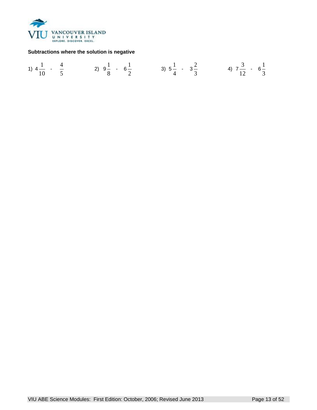

#### **Subtractions where the solution is negative**

1) 
$$
4\frac{1}{10}
$$
 -  $\frac{4}{5}$  2)  $9\frac{1}{8}$  -  $6\frac{1}{2}$  3)  $5\frac{1}{4}$  -  $3\frac{2}{3}$  4)  $7\frac{3}{12}$  -  $6\frac{1}{3}$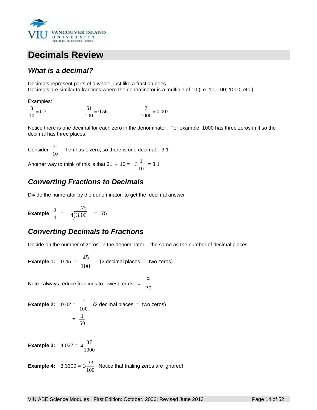

# **Decimals Review**

# *What is a decimal?*

Decimals represent parts of a whole, just like a fraction does. Decimals are similar to fractions where the denominator is a multiple of 10 (i.e. 10, 100, 1000, etc.).

Examples:

 $\frac{5}{10} = 0.3$ 3  $= 0.3$   $\frac{51}{100} = 0.56$  $\frac{51}{100} = 0.56$   $\frac{7}{1000} = 0.007$  $\frac{7}{1}$  =

Notice there is one decimal for each zero in the denominator. For example, 1000 has three zeros in it so the decimal has three places.

Consider 10  $\frac{31}{12}$  Ten has 1 zero, so there is one decimal: 3.1

Another way to think of this is that  $31 \div 10 =$ 10  $3\frac{1}{10}$  = 3.1

# *Converting Fractions to Decimals*

Divide the numerator by the denominator to get the decimal answer

**Example** 
$$
\frac{3}{4} = 4 \overline{)3.00} = .75
$$

# *Converting Decimals to Fractions*

Decide on the number of zeros in the denominator - the same as the number of decimal places.

**Example 1:**  $0.45 = \frac{10}{100}$  $\frac{45}{10}$  (2 decimal places = two zeros)

Note: always reduce fractions to lowest terms. =  $\frac{2}{20}$ 9

**Example 2:** 0.02 = 100  $\frac{2}{\sqrt{2}}$  (2 decimal places = two zeros)  $=$ 50 1

**Example 3:** 4.037 =  $4\frac{37}{1000}$ 

**Example 4:**  $3.3300 = 3\frac{33}{100}$  Notice that trailing zeros are ignored!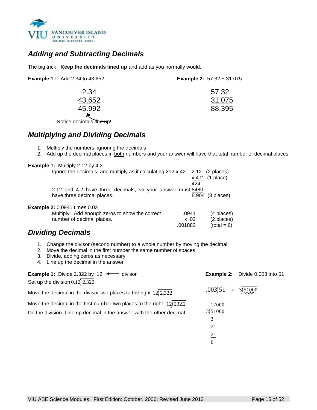

# *Adding and Subtracting Decimals*

The big trick: **Keep the decimals lined up** and add as you normally would.

| <b>Example 1:</b> Add 2.34 to 43.652 | <b>Example 2:</b> $57.32 + 31.075$ |
|--------------------------------------|------------------------------------|
| 2.34                                 | 57.32                              |
| 43.652                               | 31.075                             |
| 45.992                               | 88.395                             |
| Notice decimals line up!             |                                    |
| .<br>-- -- - -                       |                                    |

### *Multiplying and Dividing Decimals*

- 1. Multiply the numbers, ignoring the decimals
- 2. Add up the decimal places in both numbers and your answer will have that total number of decimal places
- **Example 1:** Multiply 2.12 by 4.2

| Ignore the decimals, and multiply as if calculating $212 \times 42$ 2.12 (2 places) |                   |
|-------------------------------------------------------------------------------------|-------------------|
|                                                                                     | $x 4.2$ (1 place) |
|                                                                                     | 424               |
| 2.12 and 4.2 have three decimals, so your answer must 8480                          |                   |
| have three decimal places.                                                          | 8.904 (3 places)  |
|                                                                                     |                   |

**Example 2:** 0.0941 times 0.02

| Multiply. Add enough zeros to show the correct | .0941        | (4 places)    |
|------------------------------------------------|--------------|---------------|
| number of decimal places.                      | <u>x .02</u> | (2 places)    |
|                                                | .001882      | $(total = 6)$ |
|                                                |              |               |

### *Dividing Decimals*

- 1. Change the divisor (second number) to a whole number by moving the decimal
- 2. Move the decimal in the first number the same number of spaces.
- 3. Divide, adding zeros as necessary
- 4. Line up the decimal in the answer

| <b>Example 1:</b> Divide 2.322 by .12 $\rightarrow$ divisor          |                                                         | <b>Example 2:</b> Divide 0.003 into 51 |
|----------------------------------------------------------------------|---------------------------------------------------------|----------------------------------------|
| Set up the division $0.12$ ) 2.322                                   |                                                         |                                        |
| Move the decimal in the divisor two places to the right $12$ ) 2.322 | $.003\overline{)51}$ $\rightarrow$ $3\overline{)51000}$ |                                        |

Move the decimal in the first number two places to the right  $\left(12\right)232.2$ 

Do the division. Line up decimal in the answer with the other decimal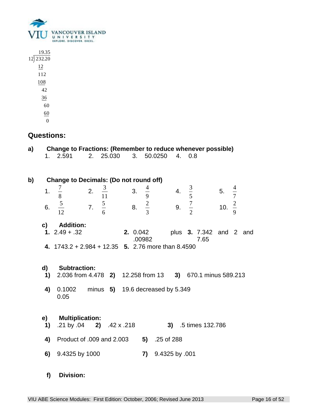

| 19.35             |
|-------------------|
| $12\sqrt{232.20}$ |
| 12                |
| 112               |
| 108               |
| 42                |
| 36                |
| 60                |
| 60                |
|                   |
|                   |

# **Questions:**

| a) |            | <b>Change to Fractions: (Remember to reduce whenever possible)</b>                          |                  |                |          |                                    |                |                                 |                   |               |  |
|----|------------|---------------------------------------------------------------------------------------------|------------------|----------------|----------|------------------------------------|----------------|---------------------------------|-------------------|---------------|--|
|    | 1.         | 2.591                                                                                       |                  | 2. 25.030      | 3.       | 50.0250                            |                | 4. 0.8                          |                   |               |  |
| b) |            | <b>Change to Decimals: (Do not round off)</b>                                               |                  |                |          |                                    |                |                                 |                   |               |  |
|    | 1.         | $\frac{1}{8}$                                                                               | 2.               | $\frac{3}{11}$ | 3.       | $\frac{4}{9}$                      | 4.             | $rac{3}{5}$                     | 5.                | $\frac{4}{7}$ |  |
|    | 6.         | $\frac{5}{12}$                                                                              | 7. $\frac{5}{6}$ |                | 8.       | $rac{2}{3}$                        | 9.             | $rac{7}{2}$                     | 10. $\frac{2}{9}$ |               |  |
|    | c)         | <b>Addition:</b><br>1. $2.49 + .32$<br>4. $1743.2 + 2.984 + 12.35$ 5. 2.76 more than 8.4590 |                  |                | 2. 0.042 | .00982                             |                | plus 3. 7.342 and 2 and<br>7.65 |                   |               |  |
|    | d)<br>1)   | <b>Subtraction:</b><br>2.036 from 4.478 2) 12.258 from 13 3) 670.1 minus 589.213            |                  |                |          |                                    |                |                                 |                   |               |  |
|    | 4)         | 0.1002<br>0.05                                                                              |                  |                |          | minus $5)$ 19.6 decreased by 5.349 |                |                                 |                   |               |  |
|    | e) —<br>1) | <b>Multiplication:</b><br>.21 by .04 <b>2)</b> .42 x .218                                   |                  |                |          |                                    |                | 3) .5 times 132.786             |                   |               |  |
|    | 4)         | Product of .009 and 2.003                                                                   |                  |                |          | 5)                                 | .25 of 288     |                                 |                   |               |  |
|    | 6)         | 9.4325 by 1000                                                                              |                  |                |          | 7)                                 | 9.4325 by .001 |                                 |                   |               |  |

**f) Division:**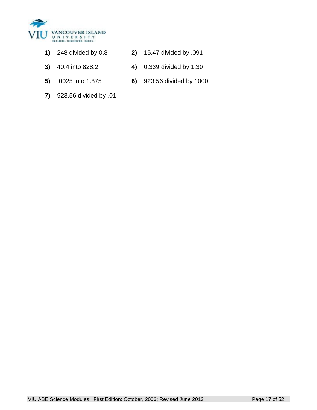

- **1)** 248 divided by 0.8 **2)** 15.47 divided by .091
- 
- 
- **7)** 923.56 divided by .01
- 
- **3)** 40.4 into 828.2 **4)** 0.339 divided by 1.30
- **5)** .0025 into 1.875 **6)** 923.56 divided by 1000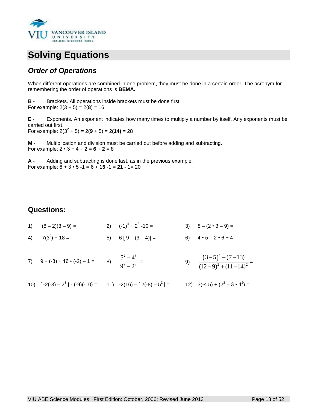

# **Solving Equations**

# *Order of Operations*

When different operations are combined in one problem, they must be done in a certain order. The acronym for remembering the order of operations is **BEMA.**

**B** - Brackets. All operations inside brackets must be done first. For example:  $2(3 + 5) = 2(8) = 16$ .

**E** - Exponents. An exponent indicates how many times to multiply a number by itself. Any exponents must be carried out first. For example:  $2(3^2 + 5) = 2(9 + 5) = 2(14) = 28$ 

**M** - Multiplication and division must be carried out before adding and subtracting. For example:  $2 \cdot 3 + 4 \div 2 = 6 + 2 = 8$ 

**A** - Adding and subtracting is done last, as in the previous example. For example:  $6 + 3 \cdot 5 - 1 = 6 + 15 - 1 = 21 - 1 = 20$ 

# **Questions:**

- 1)  $(8-2)(3-9) =$ 2)  $(-1)^4 + 2^3 - 10 =$ 3)  $8 - (2 \cdot 3 - 9) =$
- 4)  $-7(3^4) + 18 =$ 5)  $6 [9 - (3 - 4)] =$  6)  $4 \cdot 5 - 2 \cdot 6 + 4$
- $7)$   $9 \div (-3) + 16 \cdot (-2) 1 = 8$ 2  $\sqrt{3}$ 2  $\gamma^2$  $5^2 - 4$  $9^2 - 2$  $\overline{a}$  $\overline{a}$  $=$  9)  $\frac{(3-5)^2}{2}$  $\frac{2}{(11-11)^2}$  $3-5)^2$  – (7 – 13)  $\sqrt{(12-9)^2 + (11-14)}$  $(-5)^2$  –  $(7-13)$  $\frac{(-9)^2 + (11-14)^2}{2}$
- 10)  $[-2(-3)-2^3] (-9)(-10) =$  11)  $-2(16) [2(-8)-5^3] =$  12)  $3(-4.5) + (2^2 3 \cdot 4^2) =$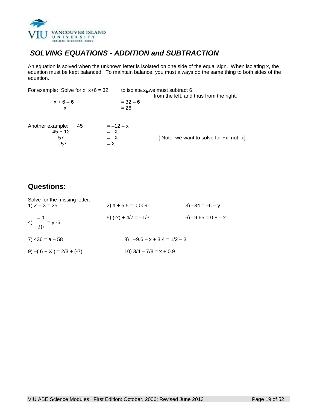

# *SOLVING EQUATIONS - ADDITION and SUBTRACTION*

An equation is solved when the unknown letter is isolated on one side of the equal sign. When isolating x, the equation must be kept balanced. To maintain balance, you must always do the same thing to both sides of the equation.

| For example: Solve for x: $x+6 = 32$                                         | to isolate x we must subtract 6<br>from the left, and thus from the right. |                                                |  |  |  |
|------------------------------------------------------------------------------|----------------------------------------------------------------------------|------------------------------------------------|--|--|--|
| $x + 6 - 6$<br>x                                                             | $= 32 - 6$<br>$= 26$                                                       |                                                |  |  |  |
| Another example:<br>45<br>$45 + 12$<br>$=-X$<br>$=-X$<br>57<br>$=X$<br>$-57$ | $=-12 - x$                                                                 | { Note: we want to solve for $+x$ , not $-x$ } |  |  |  |

# **Questions:**

| Solve for the missing letter.<br>1) $Z - 3 = 25$ | 2) $a + 6.5 = 0.009$          | $3) -34 = -6 - y$    |
|--------------------------------------------------|-------------------------------|----------------------|
| 4) $\frac{-3}{20}$ = y -6                        | 5) $(-x) + 4/7 = -1/3$        | $6) -9.65 = 0.8 - x$ |
| 7) $436 = a - 58$                                | 8) $-9.6 - x + 3.4 = 1/2 - 3$ |                      |
| $9)-(6+X)=2/3+(-7)$                              | 10) $3/4 - 7/8 = x + 0.9$     |                      |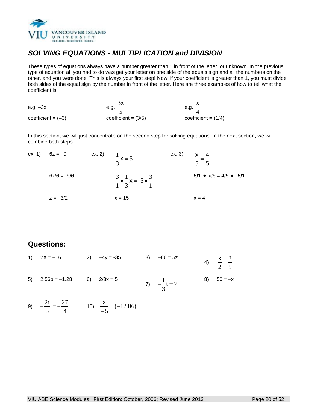

# *SOLVING EQUATIONS - MULTIPLICATION and DIVISION*

These types of equations always have a number greater than 1 in front of the letter, or unknown. In the previous type of equation all you had to do was get your letter on one side of the equals sign and all the numbers on the other, and you were done! This is always your first step! Now, if your coefficient is greater than 1, you must divide both sides of the equal sign by the number in front of the letter. Here are three examples of how to tell what the coefficient is:

| e.g. $-3x$           | e.g. $\frac{ }{ }$    | e.g. $\frac{1}{4}$    |
|----------------------|-----------------------|-----------------------|
| coefficient = $(-3)$ | coefficient = $(3/5)$ | coefficient = $(1/4)$ |

In this section, we will just concentrate on the second step for solving equations. In the next section, we will combine both steps.

| ex. 1) $6z = -9$ | ex. 2) $\frac{1}{3}x = 5$                               | ex. 3) | $\frac{x}{5} = \frac{4}{5}$     |
|------------------|---------------------------------------------------------|--------|---------------------------------|
| $6z/6 = -9/6$    | $\frac{3}{1} \cdot \frac{1}{3} x = 5 \cdot \frac{3}{1}$ |        | $5/1 \cdot x/5 = 4/5 \cdot 5/1$ |
| $z = -3/2$       | $x = 15$                                                |        | $x = 4$                         |

### **Questions:**

- 1)  $2X = -16$  2)  $-4y = -35$  3)  $-86 = 5z$ 4)  $\frac{1}{2} = \frac{5}{5}$ 3  $\frac{x}{x}$  =
- 5)  $2.56b = -1.28$  6)  $2/3x = 5$ 7)  $-\frac{1}{2}t = 7$ 3  $\frac{1}{2}$ t = 8)  $50 = -x$

| 9) | $2r$ $27$ | $\frac{x}{-} = (-12.06)$<br>10) |
|----|-----------|---------------------------------|
|    |           |                                 |

2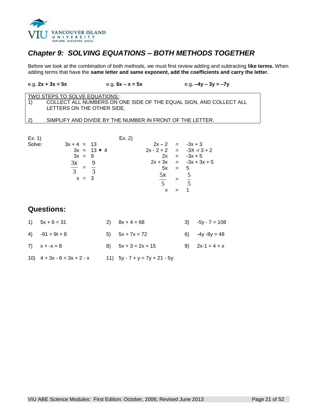

# *Chapter 9: SOLVING EQUATIONS – BOTH METHODS TOGETHER*

Before we look at the combination of both methods, we must first review adding and subtracting **like terms.** When adding terms that have the **same letter and same exponent, add the coefficients and carry the letter.**

TWO STEPS TO SOLVE EQUATIONS:: 1) COLLECT ALL NUMBERS ON ONE SIDE OF THE EQUAL SIGN, AND COLLECT ALL LETTERS ON THE OTHER SIDE.

e.g**. 2x + 3x = 5x** e.g**. 6x – x = 5x** e.g**. –4y – 3y = –7y**

2) SIMPLIFY AND DIVIDE BY THE NUMBER IN FRONT OF THE LETTER.

Ex. 1) Solve:

|                                | Ex. 2) |          |                            |
|--------------------------------|--------|----------|----------------------------|
| $3x + 4 = 13$                  |        |          | $2x - 2 = -3x + 3$         |
| $3x = 13 \cdot 4$              |        |          | $2x - 2 + 2 = -3X - 3 + 2$ |
| $3x = 9$                       |        |          | $2x = -3x + 5$             |
| $3x \qquad 9$                  |        |          | $2x + 3x = -3x + 3x + 5$   |
|                                |        | $5x = 5$ |                            |
| $\mathcal{R}$<br>$\mathcal{R}$ | 5x     |          |                            |
| $x = 3$                        |        |          |                            |
|                                | 5      |          |                            |
|                                | x      |          |                            |

# **Questions:**

| 1) $5x + 6 = 31$              | 2) $8x + 4 = 68$                | $3) -5y - 7 = 108$ |
|-------------------------------|---------------------------------|--------------------|
| 4) $-91 = 9t + 8$             | 5) $5x + 7x = 72$               | 6) $-4y - 8y = 48$ |
| 7) $x + -x = 8$               | 8) $5x + 3 = 2x + 15$           | 9) $2x-1 = 4 + x$  |
| 10) $4 + 3x - 6 = 3x + 2 - x$ | 11) $5y - 7 + y = 7y + 21 - 5y$ |                    |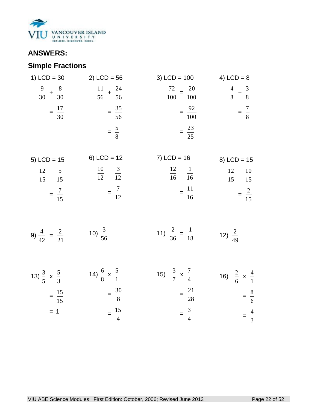

# **ANSWERS:**

# **Simple Fractions**

| 1) $LCD = 30$                                                      | $2)$ LCD = 56                                                      | 3) $LCD = 100$                                                      | 4) $LCD = 8$                                                        |
|--------------------------------------------------------------------|--------------------------------------------------------------------|---------------------------------------------------------------------|---------------------------------------------------------------------|
|                                                                    | $\frac{9}{30} + \frac{8}{30}$ $\frac{11}{56} + \frac{24}{56}$      | $\frac{72}{100} = \frac{20}{100}$                                   | $\frac{4}{8} + \frac{3}{8}$                                         |
| $=\frac{17}{30}$                                                   | $=\frac{35}{56}$                                                   | $=\frac{92}{100}$                                                   | $=\frac{7}{8}$                                                      |
|                                                                    | $=\frac{5}{8}$                                                     | $=\frac{23}{25}$                                                    |                                                                     |
| 5) $LCD = 15$<br>$\frac{12}{15} - \frac{5}{15}$<br>$=\frac{7}{15}$ | $6)$ LCD = 12<br>$\frac{10}{12} - \frac{3}{12}$<br>$=\frac{7}{12}$ | $7)$ LCD = 16<br>$\frac{12}{16} - \frac{1}{16}$<br>$=\frac{11}{16}$ | 8) $LCD = 15$<br>$\frac{12}{15} - \frac{10}{15}$<br>$=\frac{2}{15}$ |
| 9) $\frac{4}{42} = \frac{2}{21}$                                   | 10) $\frac{3}{56}$                                                 | 11) $\frac{2}{36} = \frac{1}{18}$                                   | 12) $\frac{2}{49}$                                                  |
| 13) $\frac{3}{5}$ x $\frac{5}{3}$<br>$=\frac{15}{15}$              | 14) $\frac{6}{8}$ x $\frac{5}{1}$<br>$=\frac{30}{8}$               | 15) $\frac{3}{7} \times \frac{7}{4}$<br>$=\frac{21}{28}$            | 16) $\frac{2}{6} \times \frac{4}{1}$<br>$=\frac{8}{6}$              |
| $= 1$                                                              | $=\frac{15}{4}$                                                    | $=\frac{3}{4}$                                                      | $=\frac{4}{3}$                                                      |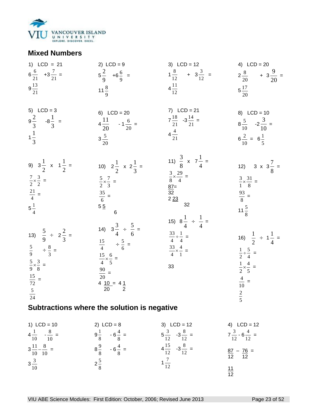

### **Mixed Numbers**

| 1) $LCD = 21$<br>$6\frac{6}{21}$ +3 $\frac{7}{21}$ =<br>$9\frac{13}{21}$                                                                             | 2) $LCD = 9$<br>$5\frac{2}{9}$ +6 $\frac{6}{9}$ =<br>$11\frac{8}{9}$                                                                                                      | 3) $LCD = 12$<br>$1\frac{8}{12}$ + $3\frac{3}{12}$ =<br>$4\frac{11}{12}$                                            | 4) $LCD = 20$<br>$2\frac{8}{20}$ + $3\frac{9}{20}$ =<br>$5\frac{17}{20}$                                                                        |
|------------------------------------------------------------------------------------------------------------------------------------------------------|---------------------------------------------------------------------------------------------------------------------------------------------------------------------------|---------------------------------------------------------------------------------------------------------------------|-------------------------------------------------------------------------------------------------------------------------------------------------|
| 5) $LCD = 3$<br>$9\frac{2}{3}$ $-8\frac{1}{3}$ =<br>$1\frac{1}{3}$                                                                                   | 6) $LCD = 20$<br>$4\frac{11}{20}$ $-1\frac{6}{20}$ =<br>$3\frac{5}{20}$                                                                                                   | 7) $LCD = 21$<br>$7\frac{18}{21}$ -3 $\frac{14}{21}$ =<br>$4\frac{4}{21}$                                           | 8) $LCD = 10$<br>$8\frac{5}{10}$ $-2\frac{3}{10}$ =<br>$6\frac{2}{10} = 6\frac{1}{5}$                                                           |
| 9) $3\frac{1}{2}$ x $1\frac{1}{2}$ =<br>$\frac{7}{2} \times \frac{3}{2}$ =<br>$\frac{21}{4}$ =<br>$5\frac{1}{4}$                                     | 10) $2\frac{1}{2} \times 2\frac{1}{3} =$<br>$rac{5}{2} \times \frac{7}{3} =$<br>$\frac{35}{6}$ =<br>$5\frac{6}{5}$<br>$6\phantom{a}$                                      | 11) $\frac{3}{8}$ x $7\frac{1}{4}$ =<br>$\frac{3}{8} \times \frac{29}{4}$ =<br>32                                   | 12) 3 x $3\frac{7}{8}$ =<br>$\frac{3}{1} \times \frac{31}{8} =$<br>$\frac{93}{8}$<br>$11\frac{5}{8}$                                            |
| 13) $\frac{5}{9} \div 2\frac{2}{3} =$<br>$rac{5}{9}$ $\div \frac{8}{3}$ =<br>$rac{5}{9} \times \frac{3}{8}$ =<br>$\frac{15}{72}$ =<br>$\frac{5}{24}$ | 14) $3\frac{3}{4} \div \frac{5}{6} =$<br>$\frac{15}{4}$ $\div \frac{5}{6}$ =<br>$\frac{15}{4} \times \frac{6}{5} =$<br>$\frac{90}{20}$ =<br>$\frac{4}{20} = 4\frac{1}{2}$ | 15) $8\frac{1}{4} \div \frac{1}{4}$<br>$rac{33}{4} \div \frac{1}{4}$ =<br>$\frac{33}{4} \times \frac{4}{1}$ =<br>33 | 16) $\frac{1}{2} \div 1\frac{1}{4} =$<br>$rac{1}{2} \div \frac{5}{4}$ =<br>$\frac{1}{2} \times \frac{4}{5}$ =<br>$\frac{4}{10}$ = $\frac{2}{5}$ |
|                                                                                                                                                      | Subtractions where the solution is negative                                                                                                                               |                                                                                                                     |                                                                                                                                                 |

#### 1)  $LCD = 10$  $4\frac{1}{10}$  $\frac{1}{2}$  -  $\frac{8}{2}$  =  $3\frac{11}{10} - \frac{6}{10}$   $\frac{11}{11} - \frac{8}{11} =$  2) LCD = 8  $9\frac{1}{8}$  $\frac{1}{2}$  - 6  $\frac{4}{x}$  =  $\frac{9}{2}$  - 6  $\frac{4}{1}$  = 3) LCD = 12  $5\frac{5}{12}$  $\frac{3}{2}$  -3 $\frac{8}{12}$  $\frac{8}{2}$  =  $4\frac{15}{12}$  $\frac{15}{12}$  -3 $\frac{8}{12}$  $\frac{8}{2}$  =  $1\frac{1}{12}$  4) LCD = 12  $7\frac{5}{12}$  $\frac{3}{2}$  - 6 $\frac{4}{12}$  $\frac{4}{1}$  =  $\frac{87}{5} - \frac{76}{5} =$ 12 12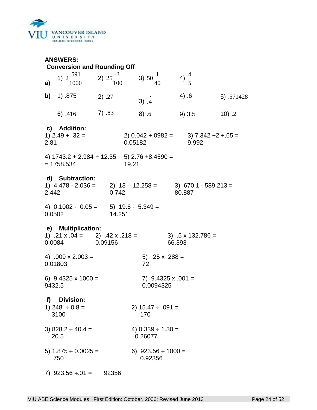

| <b>ANSWERS:</b><br><b>Conversion and Rounding Off</b>                                |          |                                                                 |                                    |                      |
|--------------------------------------------------------------------------------------|----------|-----------------------------------------------------------------|------------------------------------|----------------------|
| a)                                                                                   |          | 1) $2\frac{591}{1000}$ 2) $25\frac{3}{100}$ 3) $50\frac{1}{40}$ | 4) $\frac{4}{5}$                   |                      |
| <b>b)</b> 1) $.875$                                                                  | 2) $.27$ | 3) .4                                                           | 4) .6                              | 5) .571428           |
| 6) .416                                                                              | 7) .83   | 8) .6                                                           | 9)3.5                              | 10) .2               |
| c) Addition:<br>$1)$ 2.49 + .32 =<br>2.81                                            |          | $(2)$ 0.042 + 0982 =<br>0.05182                                 | 9.992                              | $3) 7.342 +2 +.65 =$ |
| 4) $1743.2 + 2.984 + 12.35$ 5) $2.76 + 8.4590 =$<br>$= 1758.534$                     |          | 19.21                                                           |                                    |                      |
| d) Subtraction:<br>1) $4.478 - 2.036 =$ 2) $13 - 12.258 =$<br>2.442                  | 0.742    |                                                                 | $3)$ 670.1 - 589.213 =<br>80.887   |                      |
| 4) $0.1002 - 0.05 =$ 5) $19.6 - 5.349 =$<br>0.0502                                   | 14.251   |                                                                 |                                    |                      |
| e) Multiplication:<br>1) $.21 \times .04 =$ 2) $.42 \times .218 =$<br>0.0084 0.09156 |          |                                                                 | 3) $.5 \times 132.786 =$<br>66.393 |                      |
| 4) $.009 \times 2.003 =$<br>0.01803                                                  |          | 5) $.25 \times 288 =$<br>72                                     |                                    |                      |
| 6) $9.4325 \times 1000 =$<br>9432.5                                                  |          | 7) $9.4325 \times .001 =$<br>0.0094325                          |                                    |                      |
| <b>Division:</b><br>f)<br>1) 248 $\div$ 0.8 =<br>3100                                |          | 2) $15.47 \div .091 =$<br>170                                   |                                    |                      |
| 3) $828.2 \div 40.4 =$<br>20.5                                                       |          | 4) $0.339 \div 1.30 =$<br>0.26077                               |                                    |                      |
| 5) $1.875 \div 0.0025 =$<br>750                                                      |          | 6) $923.56 \div 1000 =$<br>0.92356                              |                                    |                      |
| 7) $923.56 \div 01 =$                                                                | 92356    |                                                                 |                                    |                      |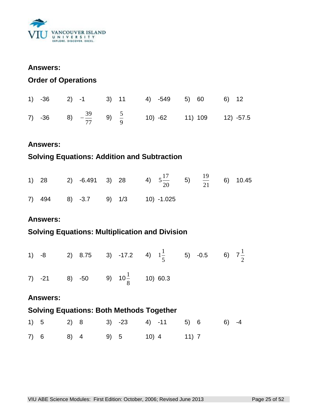

#### **Answers:**

### **Order of Operations**

|  |  | 1) -36 2) -1 3) 11 4) -549 5) 60 6) 12                                |  |
|--|--|-----------------------------------------------------------------------|--|
|  |  | 7) -36 8) $-\frac{39}{77}$ 9) $\frac{5}{9}$ 10) -62 11) 109 12) -57.5 |  |

### **Answers:**

# **Solving Equations: Addition and Subtraction**

|  |  |  | 1) 28 2) -6.491 3) 28 4) $5\frac{17}{20}$ 5) $\frac{19}{21}$ 6) 10.45 |  |
|--|--|--|-----------------------------------------------------------------------|--|
|  |  |  | 7) 494 8) -3.7 9) 1/3 10) -1.025                                      |  |

### **Answers:**

# **Solving Equations: Multiplication and Division**

|  | 1) -8 2) 8.75 3) -17.2 4) $1\frac{1}{5}$ 5) -0.5 6) $7\frac{1}{2}$ |  |  |  |  |
|--|--------------------------------------------------------------------|--|--|--|--|
|  | 7) -21 8) -50 9) $10\frac{1}{8}$ 10) 60.3                          |  |  |  |  |

### **Answers:**

# **Solving Equations: Both Methods Together**

|  |                            |  | 1) 5 2) 8 3) -23 4) -11 5) 6 6) -4 |  |
|--|----------------------------|--|------------------------------------|--|
|  | 7) 6 8) 4 9) 5 10) 4 11) 7 |  |                                    |  |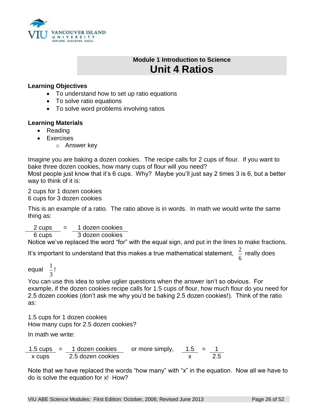

# **Module 1 Introduction to Science Unit 4 Ratios**

#### **Learning Objectives**

- To understand how to set up ratio equations
- To solve ratio equations
- To solve word problems involving ratios

#### **Learning Materials**

- Reading
- Exercises
	- o Answer key

Imagine you are baking a dozen cookies. The recipe calls for 2 cups of flour. If you want to bake three dozen cookies, how many cups of flour will you need? Most people just know that it's 6 cups. Why? Maybe you'll just say 2 times 3 is 6, but a better way to think of it is:

2 cups for 1 dozen cookies 6 cups for 3 dozen cookies

This is an example of a ratio. The ratio above is in words. In math we would write the same thing as:

 $2 \text{ cups} = 1 \text{ dozen cookies}$ 

6 cups 3 dozen cookies

Notice we've replaced the word "for" with the equal sign, and put in the lines to make fractions.

It's important to understand that this makes a true mathematical statement, 6  $\frac{2}{7}$  really does

equal 3  $\frac{1}{2}$ !

You can use this idea to solve uglier questions when the answer isn't so obvious. For example, if the dozen cookies recipe calls for 1.5 cups of flour, how much flour do you need for 2.5 dozen cookies (don't ask me why you'd be baking 2.5 dozen cookies!). Think of the ratio as:

1.5 cups for 1 dozen cookies How many cups for 2.5 dozen cookies?

In math we write:

 $1.5 \text{ cups}$  = 1 dozen cookies or more simply,  $1.5$  = 1 x cups 2.5 dozen cookies x 2.5

Note that we have replaced the words "how many" with "x" in the equation. Now all we have to do is solve the equation for x! How?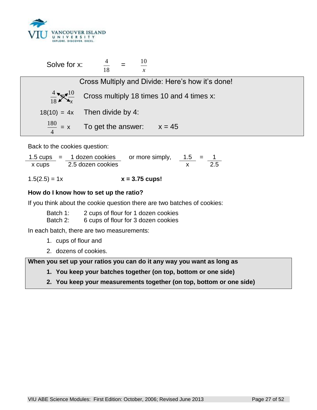

| Solve for x: $\frac{4}{18}$ = $\frac{10}{x}$                                            |
|-----------------------------------------------------------------------------------------|
| Cross Multiply and Divide: Here's how it's done!                                        |
| $\frac{4}{18}$ $\mathbf{X}_{\mathbf{r}}^{10}$ Cross multiply 18 times 10 and 4 times x: |
| $18(10) = 4x$ Then divide by 4:                                                         |
| $\frac{180}{4}$ = x To get the answer: x = 45                                           |

Back to the cookies question:

 $\frac{1.5 \text{ cups}}{x \text{ cups}} = \frac{1 \text{ dozen cookies}}{2.5 \text{ dozen cookies}}$  or more simply,  $\frac{1.5}{x} = \frac{1}{2.5}$ x cups 2.5 dozen cookies

 $1.5(2.5) = 1x$   $x = 3.75$  cups!

#### **How do I know how to set up the ratio?**

If you think about the cookie question there are two batches of cookies:

Batch 1: 2 cups of flour for 1 dozen cookies Batch 2: 6 cups of flour for 3 dozen cookies

In each batch, there are two measurements:

- 1. cups of flour and
- 2. dozens of cookies.

**When you set up your ratios you can do it any way you want as long as** 

**1. You keep your batches together (on top, bottom or one side)**

**2. You keep your measurements together (on top, bottom or one side)**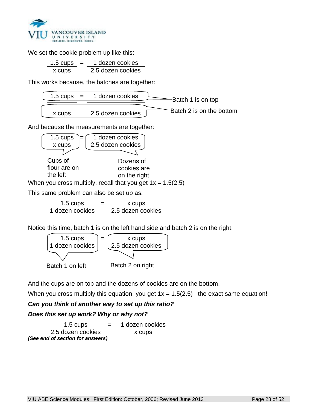

We set the cookie problem up like this:

 $1.5 \text{ cups} = 1 \text{ dozen cookies}$ x cups 2.5 dozen cookies

This works because, the batches are together:



And because the measurements are together:



When you cross multiply, recall that you get  $1x = 1.5(2.5)$ 

This same problem can also be set up as:

 $1.5 \text{ cups}$  =  $x \text{ cups}$ 1 dozen cookies 2.5 dozen cookies

Notice this time, batch 1 is on the left hand side and batch 2 is on the right:



And the cups are on top and the dozens of cookies are on the bottom.

When you cross multiply this equation, you get  $1x = 1.5(2.5)$  the exact same equation!

*Can you think of another way to set up this ratio?*

### *Does this set up work? Why or why not?*

 $1.5 \text{ cups}$  = 1 dozen cookies 2.5 dozen cookies x cups *(See end of section for answers)*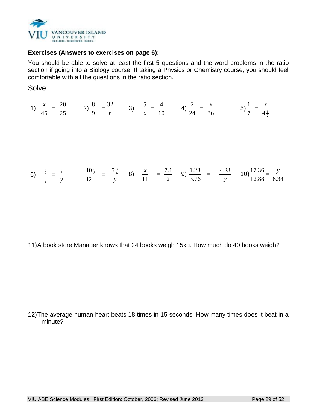

#### **Exercises (Answers to exercises on page 6):**

You should be able to solve at least the first 5 questions and the word problems in the ratio section if going into a Biology course. If taking a Physics or Chemistry course, you should feel comfortable with all the questions in the ratio section.

Solve:

1) 
$$
\frac{x}{45} = \frac{20}{25}
$$
 2)  $\frac{8}{9} = \frac{32}{n}$  3)  $\frac{5}{x} = \frac{4}{10}$  4)  $\frac{2}{24} = \frac{x}{36}$  5)  $\frac{1}{7} = \frac{x}{4\frac{1}{2}}$ 

6) 
$$
\frac{\frac{2}{7}}{\frac{3}{4}} = \frac{\frac{5}{6}}{y}
$$
  $\frac{10\frac{3}{8}}{12\frac{2}{3}} = \frac{5\frac{3}{4}}{y}$  8)  $\frac{x}{11} = \frac{7.1}{2}$  9)  $\frac{1.28}{3.76} = \frac{4.28}{y}$  10)  $\frac{17.36}{12.88} = \frac{y}{6.34}$ 

11)A book store Manager knows that 24 books weigh 15kg. How much do 40 books weigh?

12)The average human heart beats 18 times in 15 seconds. How many times does it beat in a minute?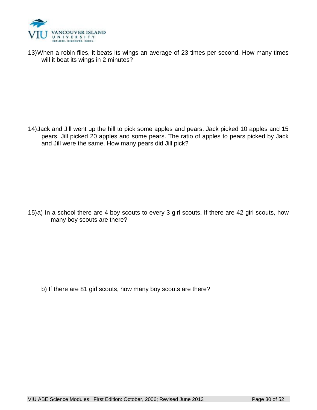

13)When a robin flies, it beats its wings an average of 23 times per second. How many times will it beat its wings in 2 minutes?

14)Jack and Jill went up the hill to pick some apples and pears. Jack picked 10 apples and 15 pears. Jill picked 20 apples and some pears. The ratio of apples to pears picked by Jack and Jill were the same. How many pears did Jill pick?

15)a) In a school there are 4 boy scouts to every 3 girl scouts. If there are 42 girl scouts, how many boy scouts are there?

b) If there are 81 girl scouts, how many boy scouts are there?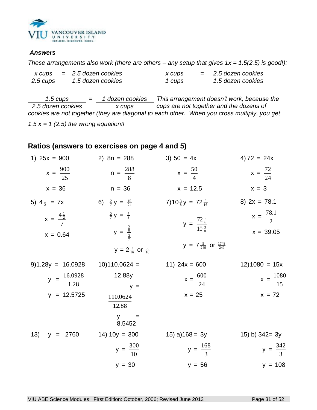

#### *Answers*

*These arrangements also work (there are others – any setup that gives 1x = 1.5(2.5) is good!):*

| X CUDS   | $=$ 2.5 dozen cookies | X CUDS | $=$ 2.5 dozen cookies |
|----------|-----------------------|--------|-----------------------|
| 2.5 cups | 1.5 dozen cookies     | 1 cups | 1.5 dozen cookies     |

*1.5 cups = 1 dozen cookies This arrangement doesn't work, because the 2.5 dozen cookies x cups cups are not together and the dozens of cookies are not together (they are diagonal to each other. When you cross multiply, you get 1.5 x = 1 (2.5) the wrong equation!!*

### **Ratios (answers to exercises on page 4 and 5)**

| 1) $25x = 900$                             | 2) $8n = 288$                                                            | $3) 50 = 4x$                               | 4) $72 = 24x$                       |
|--------------------------------------------|--------------------------------------------------------------------------|--------------------------------------------|-------------------------------------|
| $x = \frac{900}{25}$                       | $n = \frac{288}{8}$                                                      | $x = \frac{50}{4}$                         | $x = \frac{72}{24}$                 |
| $x = 36$                                   | $n = 36$                                                                 | $x = 12.5$                                 | $x = 3$                             |
| 5) $4\frac{1}{2}$ = 7x                     | 6) $\frac{2}{7}y = \frac{15}{24}$                                        | 7) 10 $\frac{3}{8}$ y = 72 $\frac{5}{16}$  | $8)$ 2x = 78.1                      |
| $x = \frac{4\frac{1}{2}}{7}$<br>$x = 0.64$ | $\frac{2}{7}$ y = $\frac{5}{8}$<br>$y = \frac{\frac{5}{8}}{\frac{2}{5}}$ | $y = \frac{72\frac{5}{6}}{10\frac{3}{8}}$  | $x = \frac{78.1}{2}$<br>$x = 39.05$ |
|                                            | $y = 2\frac{3}{16}$ or $\frac{35}{16}$                                   | $y = 7\frac{5}{249}$ or $\frac{1748}{249}$ |                                     |
| $9)1.28y = 16.0928$                        | $10)110.0624 =$                                                          | 11) $24x = 600$                            | $12)1080 = 15x$                     |
| $y = \frac{16.0928}{1.28}$                 | 12.88y<br>$y =$                                                          | $x = \frac{600}{24}$                       | $x = \frac{1080}{15}$               |
| $y = 12.5725$                              | 110.0624<br>12.88                                                        | $x = 25$                                   | $x = 72$                            |
|                                            | y y<br>8.5452                                                            |                                            |                                     |
| 13) $y = 2760$                             | 14) $10y = 300$                                                          | $(15)$ a) $168 = 3y$                       | $(15)$ b) $342 = 3y$                |
|                                            | $y = \frac{300}{10}$                                                     | $y = \frac{168}{3}$                        | $y = \frac{342}{3}$                 |
|                                            | $y = 30$                                                                 | $y = 56$                                   | $y = 108$                           |
|                                            |                                                                          |                                            |                                     |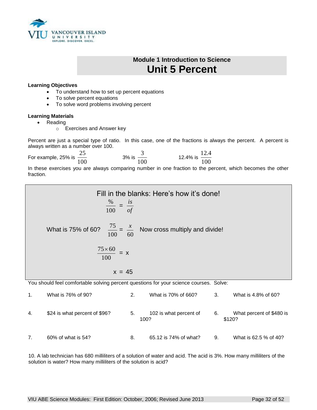

# **Module 1 Introduction to Science Unit 5 Percent**

#### **Learning Objectives**

- To understand how to set up percent equations
- To solve percent equations
- To solve word problems involving percent

#### **Learning Materials**

- Reading
	- o Exercises and Answer key

Percent are just a special type of ratio. In this case, one of the fractions is always the percent. A percent is always written as a number over 100.

For example, 25% is  $\frac{1}{100}$ 25 3% is  $\frac{1}{100}$ 3 12.4% is  $\frac{124}{100}$ 12.4

In these exercises you are always comparing number in one fraction to the percent, which becomes the other fraction.

|                | $\frac{\%}{100} = \frac{is}{of}$                                                       | of | Fill in the blanks: Here's how it's done! |    |                                    |
|----------------|----------------------------------------------------------------------------------------|----|-------------------------------------------|----|------------------------------------|
|                | $\frac{75}{100} = \frac{x}{60}$<br>What is 75% of 60?                                  |    | Now cross multiply and divide!            |    |                                    |
|                | $75 \times 60 = x$<br>100                                                              |    |                                           |    |                                    |
|                | $x = 45$                                                                               |    |                                           |    |                                    |
|                | You should feel comfortable solving percent questions for your science courses. Solve: |    |                                           |    |                                    |
| 1.             | What is 76% of 90?                                                                     | 2. | What is 70% of 660?                       | 3. | What is 4.8% of 60?                |
| 4.             | \$24 is what percent of \$96?                                                          | 5. | 102 is what percent of<br>100?            | 6. | What percent of \$480 is<br>\$120? |
| 7 <sub>1</sub> | 60% of what is 54?                                                                     | 8. | 65.12 is 74% of what?                     | 9. | What is 62.5 % of 40?              |

10. A lab technician has 680 milliliters of a solution of water and acid. The acid is 3%. How many milliliters of the solution is water? How many milliliters of the solution is acid?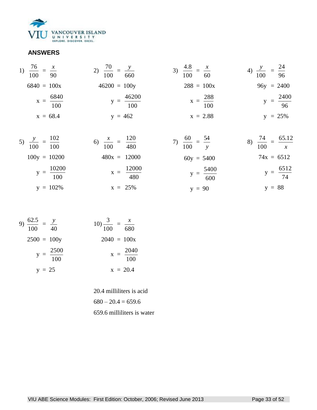

#### **ANSWERS**

1) 
$$
\frac{76}{100} = \frac{x}{90}
$$
  
\n2)  $\frac{70}{100} = \frac{y}{660}$   
\n3)  $\frac{4.8}{100} = \frac{x}{60}$   
\n4)  $\frac{y}{100} = \frac{24}{96}$   
\n5840 = 100x  
\n6840 = 100x  
\n6840 = 6840  
\n6840 = 100x  
\n6840 = 100x  
\n6840 = 100x  
\n6840 = 100x  
\n6840 = 100x  
\n6840 = 100x  
\n6840 = 100x  
\n6840 = 100x  
\n6840 = 100x  
\n6840 = 100x  
\n6840 = 100x  
\n6840 = 100x  
\n6840 = 100x  
\n6840 = 100x  
\n6840 = 100x  
\n6840 = 100x  
\n6840 = 100x  
\n6840 = 100x  
\n6840 = 100x  
\n6840 = 100x  
\n6840 = 100x  
\n6840 = 100x  
\n6840 = 100x  
\n6840 = 100x  
\n6840 = 100x  
\n6840 = 100x  
\n6840 = 100x

$$
x = \frac{6840}{100} \qquad y = \frac{46200}{100} \qquad x = \frac{288}{100} \qquad y = \frac{2400}{96}
$$
  

$$
x = 68.4 \qquad y = 462 \qquad x = 2.88 \qquad y = 25\%
$$

5) 
$$
\frac{y}{100} = \frac{102}{100}
$$
  
\n $100y = 10200$   
\n $y = \frac{10200}{100}$   
\n $y = 102\%$   
\n6)  $\frac{x}{100} = \frac{120}{480}$   
\n $480x = 12000$   
\n $x = \frac{12000}{480}$   
\n $y = 102\%$   
\n7)  $\frac{60}{100} = \frac{54}{y}$   
\n $60y = 5400$   
\n $y = \frac{5400}{600}$   
\n $y = \frac{5400}{600}$   
\n $y = \frac{6512}{74}$   
\n $y = 102\%$   
\n $y = 88$ 

9) 
$$
\frac{62.5}{100} = \frac{y}{40}
$$
  
\n $2500 = 100y$   
\n $y = \frac{2500}{100}$   
\n $y = 25$   
\n10)  $\frac{3}{100} = \frac{x}{680}$   
\n $2040 = 100x$   
\n $x = \frac{2040}{100}$   
\n $x = 20.4$ 

20.4 milliliters is acid  $680 - 20.4 = 659.6$ 659.6 milliliters is water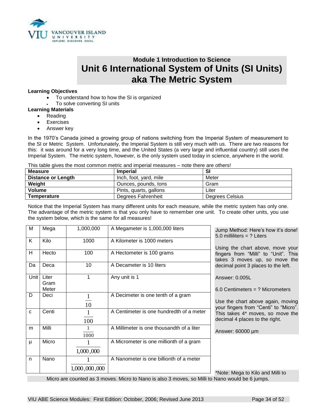

# **Module 1 Introduction to Science Unit 6 International System of Units (SI Units) aka The Metric System**

#### **Learning Objectives**

- To understand how to how the SI is organized
- To solve converting SI units
- **Learning Materials**
	- Reading
	- Exercises
	- Answer key

In the 1970's Canada joined a growing group of nations switching from the Imperial System of measurement to the SI or Metric System. Unfortunately, the Imperial System is still very much with us. There are two reasons for this: it was around for a very long time, and the United States (a very large and influential country) still uses the Imperial System. The metric system, however, is the only system used today in science, anywhere in the world.

| This table gives the most common metric and imperial measures – note there are others! |                        |                 |  |  |  |
|----------------------------------------------------------------------------------------|------------------------|-----------------|--|--|--|
| <b>Measure</b>                                                                         | <b>Imperial</b>        | SI              |  |  |  |
| <b>Distance or Length</b>                                                              | Inch, foot, yard, mile | Meter           |  |  |  |
| Weight                                                                                 | Ounces, pounds, tons   | Gram            |  |  |  |
| Volume                                                                                 | Pints, quarts, gallons | Liter           |  |  |  |
| <b>Temperature</b>                                                                     | Degrees Fahrenheit     | Degrees Celsius |  |  |  |

This table gives the most common metric and imperial measures – note there are others!

Notice that the Imperial System has many different units for each measure, while the metric system has only one. The advantage of the metric system is that you only have to remember one unit. To create other units, you use the system below, which is the same for all measures!

| M            | Mega  | 1,000,000     | A Megameter is 1,000,000 liters           | Jump Method: Here's how it's done!<br>5.0 milliliters = $?$ Liters         |
|--------------|-------|---------------|-------------------------------------------|----------------------------------------------------------------------------|
| K            | Kilo  | 1000          | A Kilometer is 1000 meters                |                                                                            |
|              |       |               |                                           | Using the chart above, move your                                           |
| H            | Hecto | 100           | A Hectometer is 100 grams                 | fingers from "Milli" to "Unit". This<br>takes 3 moves up, so move the      |
| Da           | Deca  | 10            | A Decameter is 10 liters                  | decimal point 3 places to the left.                                        |
| Unit         | Liter |               | Any unit is 1                             | Answer: 0.005L                                                             |
|              | Gram  |               |                                           |                                                                            |
|              | Meter |               |                                           | 6.0 Centimeters = $?$ Micrometers                                          |
| D            | Deci  |               | A Decimeter is one tenth of a gram        |                                                                            |
|              |       | 10            |                                           | Use the chart above again, moving<br>your fingers from "Centi" to "Micro". |
| $\mathbf{C}$ | Centi | $\mathbf{1}$  | A Centimeter is one hundredth of a meter  | This takes 4* moves, so move the                                           |
|              |       | 100           |                                           | decimal 4 places to the right.                                             |
| m            | Milli | $\mathbf{1}$  | A Millimeter is one thousandth of a liter | Answer: 60000 µm                                                           |
|              |       | 1000          |                                           |                                                                            |
| $\mu$        | Micro |               | A Micrometer is one millionth of a gram   |                                                                            |
|              |       | 1,000,000     |                                           |                                                                            |
| n            | Nano  |               | A Nanometer is one billionth of a meter   |                                                                            |
|              |       | 1,000,000,000 |                                           |                                                                            |
|              |       |               |                                           | *Note: Mega to Kilo and Milli to                                           |

Micro are counted as 3 moves. Micro to Nano is also 3 moves, so Milli to Nano would be 6 jumps.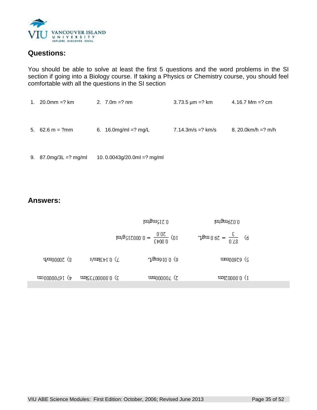

### **Questions:**

You should be able to solve at least the first 5 questions and the word problems in the SI section if going into a Biology course. If taking a Physics or Chemistry course, you should feel comfortable with all the questions in the SI section

| 1. $20.0$ mm =? km                | 2. $7.0m = ? nm$         | $3.73.5 \,\mathrm{\upmu m} = ? \,\mathrm{km}$ | 4.16.7 Mm =? cm    |
|-----------------------------------|--------------------------|-----------------------------------------------|--------------------|
|                                   |                          |                                               |                    |
|                                   |                          |                                               |                    |
| 5. $62.6 \text{ m} = ? \text{mm}$ | 6. 16.0 mg/ml = $?$ mg/L | $7.14.3m/s = ? km/s$                          | 8. 20.0km/h =? m/h |

9. 87.0mg/3L =? mg/ml 10. 0.0043g/20.0ml =? mg/ml

### **Answers:**

| m/gm650.0                                                         | lm\gm21S.0                                 |                      |                                   |
|-------------------------------------------------------------------|--------------------------------------------|----------------------|-----------------------------------|
| $\frac{3}{20}$ = $\frac{1}{20}$ = $\frac{1}{20}$ = $\frac{1}{20}$ | $\mu \nu / 35000 = \frac{5000}{50000}$ (01 |                      |                                   |
| <b>uu</b> u00979 (5                                               | Jame 10.0 (d                               | sum[0 (L)]           | Y <sup>UI</sup> 0000Z (8          |
| $\frac{\text{m}}{\text{m}}$ (1                                    | ww00000 <i>L</i> (Z                        | _ maR2 5 000000.0 (ε | ա¤00000 <i>1</i> 91 ( <del></del> |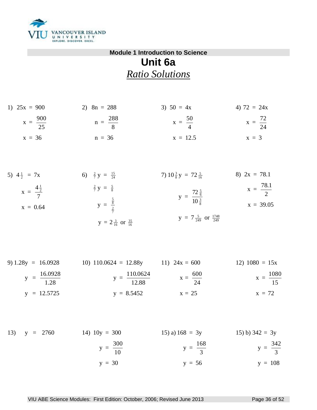

# **Module 1 Introduction to Science Unit 6a** *Ratio Solutions*

| 1) $25x = 900$       | 2) $8n = 288$       | 3) $50 = 4x$       | 4) $72 = 24x$             |
|----------------------|---------------------|--------------------|---------------------------|
| $x = \frac{900}{25}$ | $n = \frac{288}{8}$ | $x = \frac{50}{4}$ | $x = \frac{72}{11}$<br>24 |
| $x = 36$             | $n = 36$            | $x = 12.5$         | $x = 3$                   |

| 5) $4\frac{1}{2}$ = 7x                     | 6) $\frac{2}{7}$ y = $\frac{15}{24}$                                     | 7) $10\frac{3}{8}y = 72\frac{5}{16}$       | 8) $2x = 78.1$                      |
|--------------------------------------------|--------------------------------------------------------------------------|--------------------------------------------|-------------------------------------|
| $x = \frac{4\frac{1}{2}}{7}$<br>$x = 0.64$ | $\frac{2}{7}$ y = $\frac{5}{8}$<br>$y = \frac{\frac{5}{8}}{\frac{2}{7}}$ | $y = \frac{72\frac{5}{6}}{10\frac{3}{6}}$  | $x = \frac{78.1}{2}$<br>$x = 39.05$ |
|                                            | $y = 2\frac{3}{16}$ or $\frac{35}{16}$                                   | $y = 7\frac{5}{249}$ or $\frac{1748}{249}$ |                                     |

| 9) $1.28y = 16.0928$       | 10) $110.0624 = 12.88y$          | 11) $24x = 600$      | 12) $1080 = 15x$      |
|----------------------------|----------------------------------|----------------------|-----------------------|
| $y = \frac{16.0928}{1.28}$ | 110.0624<br>$y = \frac{12.88}{}$ | $x = \frac{600}{24}$ | $x = \frac{1080}{15}$ |
| $y = 12.5725$              | $y = 8.5452$                     | $x = 25$             | $x = 72$              |

13) 
$$
y = 2760
$$
  
\n14)  $10y = 300$   
\n15)  $a) 168 = 3y$   
\n16)  $y = \frac{300}{10}$   
\n17)  $y = \frac{168}{3}$   
\n18)  $y = \frac{342}{3}$   
\n19)  $y = 30$   
\n10)  $y = 56$   
\n11)  $y = \frac{342}{3}$   
\n15)  $y = 30$   
\n16)  $y = 108$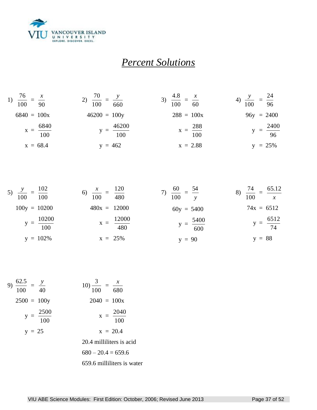

# *Percent Solutions*

1) 
$$
\frac{76}{100} = \frac{x}{90}
$$
  
\n $6840 = 100x$   
\n $x = \frac{6840}{100}$   
\n2)  $\frac{70}{100} = \frac{y}{660}$   
\n $46200 = 100y$   
\n $y = \frac{46200}{100}$   
\n3)  $\frac{4.8}{100} = \frac{x}{60}$   
\n $288 = 100x$   
\n $x = \frac{288}{100}$   
\n $y = \frac{2400}{96}$   
\n $y = \frac{2400}{96}$   
\n $y = 462$   
\n $y = 462$   
\n $y = 25%$ 

5) 
$$
\frac{y}{100} = \frac{102}{100}
$$
  
\n $100y = 10200$   
\n $y = \frac{10200}{100}$   
\n $y = 102\%$   
\n6)  $\frac{x}{100} = \frac{120}{480}$   
\n $480x = 12000$   
\n $x = \frac{12000}{480}$   
\n $y = 102\%$   
\n7)  $\frac{60}{100} = \frac{54}{y}$   
\n $60y = 5400$   
\n $y = \frac{5400}{600}$   
\n $y = \frac{6512}{74}$   
\n $y = 102\%$   
\n $y = 88$ 

9) 
$$
\frac{62.5}{100} = \frac{y}{40}
$$
  
\n $2500 = 100y$   
\n $y = \frac{2500}{100}$   
\n $y = 25$   
\n $2040 = 100x$   
\n $x = \frac{2040}{100}$   
\n $x = 20.4$   
\n $20.4$  milliliters is acid  
\n $680 - 20.4 = 659.6$ 

659.6 milliliters is water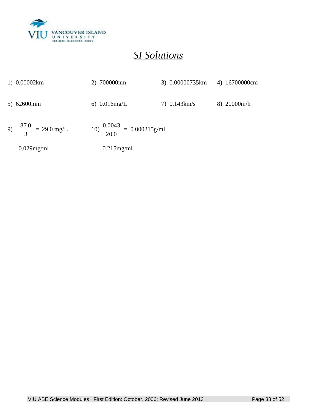

# *SI Solutions*

| 1) 0.00002km                    | 2) 700000nm                              | 3) 0.00000735km | 4) 16700000cm |
|---------------------------------|------------------------------------------|-----------------|---------------|
| 5) 62600mm                      | 6) $0.016$ mg/L                          | $7)$ 0.143 km/s | 8) 20000m/h   |
| 9) $\frac{87.0}{3}$ = 29.0 mg/L | 10) $\frac{0.0043}{20.0}$ = 0.000215g/ml |                 |               |
| $0.029$ mg/ml                   | $0.215$ mg/ml                            |                 |               |
|                                 |                                          |                 |               |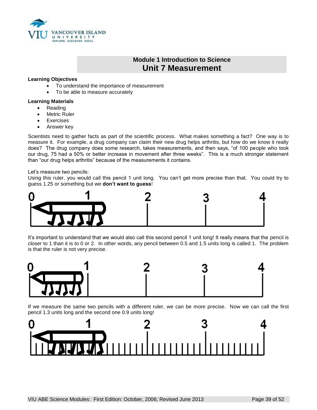

# **Module 1 Introduction to Science Unit 7 Measurement**

#### **Learning Objectives**

- To understand the importance of measurement
- To be able to measure accurately

#### **Learning Materials**

- Reading
- Metric Ruler
- Exercises
- Answer key

Scientists need to gather facts as part of the scientific process. What makes something a fact? One way is to measure it. For example, a drug company can claim their new drug helps arthritis, but how do we know it really does? The drug company does some research, takes measurements, and then says, "of 100 people who took our drug, 75 had a 50% or better increase in movement after three weeks". This is a much stronger statement than "our drug helps arthritis" because of the measurements it contains.

#### Let's measure two pencils:

Using this ruler, you would call this pencil 1 unit long. You can't get more precise than that. You could try to guess 1.25 or something but we **don't want to guess**!



It's important to understand that we would also call this second pencil 1 unit long! It really means that the pencil is closer to 1 than it is to 0 or 2. In other words, any pencil between 0.5 and 1.5 units long is called 1. The problem is that the ruler is not very precise.



If we measure the same two pencils with a different ruler, we can be more precise. Now we can call the first pencil 1.3 units long and the second one 0.9 units long!

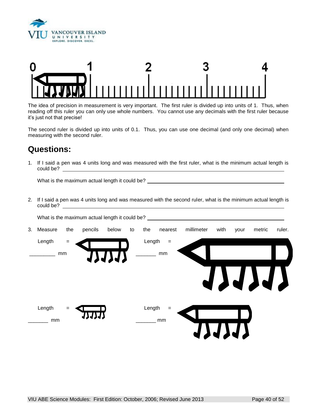



The idea of precision in measurement is very important. The first ruler is divided up into units of 1. Thus, when reading off this ruler you can only use whole numbers. You cannot use any decimals with the first ruler because it's just not that precise!

The second ruler is divided up into units of 0.1. Thus, you can use one decimal (and only one decimal) when measuring with the second ruler.

# **Questions:**

1. If I said a pen was 4 units long and was measured with the first ruler, what is the minimum actual length is could be?

What is the maximum actual length it could be? \_\_\_\_\_\_\_\_\_\_\_\_\_\_\_\_\_\_\_\_\_\_\_\_\_\_\_\_\_\_\_\_\_

2. If I said a pen was 4 units long and was measured with the second ruler, what is the minimum actual length is could be?

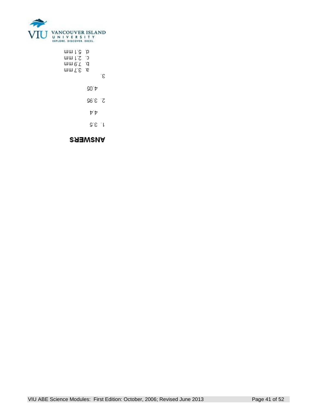

ww.pg.rp c. 2.1 mm mme.Yamm mm T.8 Lis Îε 90° b Se.g. . S  $\nabla \, \mathbf{r}$  $G.E.$ 

#### **ANSMERS**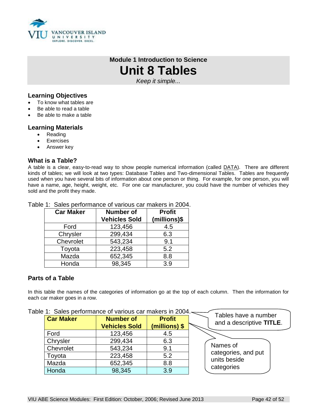

# **Module 1 Introduction to Science Unit 8 Tables**

*Keep it simple...*

#### **Learning Objectives**

- To know what tables are
- Be able to read a table
- Be able to make a table

#### **Learning Materials**

- Reading
- Exercises
- Answer key

#### **What is a Table?**

A table is a clear, easy-to-read way to show people numerical information (called DATA). There are different kinds of tables; we will look at two types: Database Tables and Two-dimensional Tables. Tables are frequently used when you have several bits of information about one person or thing. For example, for one person, you will have a name, age, height, weight, etc. For one car manufacturer, you could have the number of vehicles they sold and the profit they made.

| <b>Car Maker</b> | <b>Number of</b><br><b>Vehicles Sold</b> | <b>Profit</b><br>(millions)\$ |
|------------------|------------------------------------------|-------------------------------|
| Ford             | 123,456                                  | 4.5                           |
| Chrysler         | 299,434                                  | 6.3                           |
| Chevrolet        | 543,234                                  | 9.1                           |
| Toyota           | 223,458                                  | 5.2                           |
| Mazda            | 652,345                                  | 8.8                           |
| Honda            | 98,345                                   | 3.9                           |

Table 1: Sales performance of various car makers in 2004.

#### **Parts of a Table**

In this table the names of the categories of information go at the top of each column. Then the information for each car maker goes in a row.

|                  | Table 1: Sales performance of various car makers in 2004.- |                                | Tables have a number     |
|------------------|------------------------------------------------------------|--------------------------------|--------------------------|
| <b>Car Maker</b> | <b>Number of</b><br><b>Vehicles Sold</b>                   | <b>Profit</b><br>(millions) \$ | and a descriptive TITLE. |
| Ford             | 123,456                                                    | 4.5                            |                          |
| Chrysler         | 299,434                                                    | 6.3                            |                          |
| Chevrolet        | 543,234                                                    | 9.1                            | Names of                 |
| Tovota           | 223,458                                                    | 5.2                            | categories, and put      |
| Mazda            | 652,345                                                    | 8.8                            | units beside             |
| Honda            | 98,345                                                     | 3.9                            | categories               |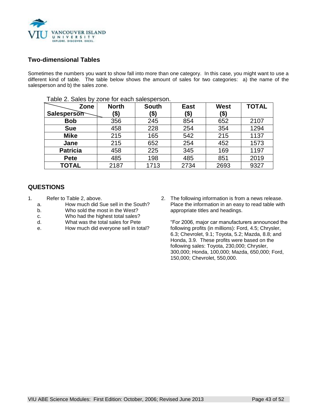

#### **Two-dimensional Tables**

Sometimes the numbers you want to show fall into more than one category. In this case, you might want to use a different kind of table. The table below shows the amount of sales for two categories: a) the name of the salesperson and b) the sales zone.

| Zone            | <b>North</b> | <b>South</b> | <b>East</b> | <b>West</b> | <b>TOTAL</b> |
|-----------------|--------------|--------------|-------------|-------------|--------------|
| Salesperson     | (\$)         | (\$)         | (\$)        | (\$)        |              |
| <b>Bob</b>      | 356          | 245          | 854         | 652         | 2107         |
| <b>Sue</b>      | 458          | 228          | 254         | 354         | 1294         |
| <b>Mike</b>     | 215          | 165          | 542         | 215         | 1137         |
| Jane            | 215          | 652          | 254         | 452         | 1573         |
| <b>Patricia</b> | 458          | 225          | 345         | 169         | 1197         |
| <b>Pete</b>     | 485          | 198          | 485         | 851         | 2019         |
| <b>TOTAL</b>    | 2187         | 1713         | 2734        | 2693        | 9327         |

#### Table 2. Sales by zone for each salesperson.

#### **QUESTIONS**

- 1. Refer to Table 2, above.
	- a. How much did Sue sell in the South?
	- b. Who sold the most in the West?
	- c. Who had the highest total sales?
	- d. What was the total sales for Pete
	- e. How much did everyone sell in total?
- 2. The following information is from a news release. Place the information in an easy to read table with appropriate titles and headings.

"For 2006, major car manufacturers announced the following profits (in millions): Ford, 4.5; Chrysler, 6.3; Chevrolet, 9.1; Toyota, 5.2; Mazda, 8.8; and Honda, 3.9. These profits were based on the following sales: Toyota, 230,000; Chrysler, 300,000; Honda, 100,000; Mazda, 650,000; Ford, 150,000; Chevrolet, 550,000.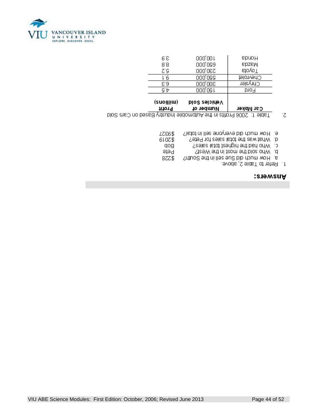

| Vehicles Sold<br>Number of | Car Maker |
|----------------------------|-----------|
| 000'09 L                   | Ford      |
| 300,000                    | Chrysler  |
| 000'099                    | Chevrolet |
| 230'000                    | вто уо Т  |
| 000'099                    | epzem     |
| 000,00 t                   | epuoµ     |
|                            |           |

- Table 1: 2006 Profits in the Automobile Industry Based on Cars Sold 1ζ
	- e: How much did everyone sell in total? ZZE6\$
	- 4. What was the total sales for Pete? 610Z\$
		- c. Who had the highest total sales?  $q$ og
		-
		- Pete SteelV entire most in the VVest?
	- 3. How much dia sensitive sell in the South? 8ZZ\$
		- 1. Refer to Table 2, above.

#### Rnswers: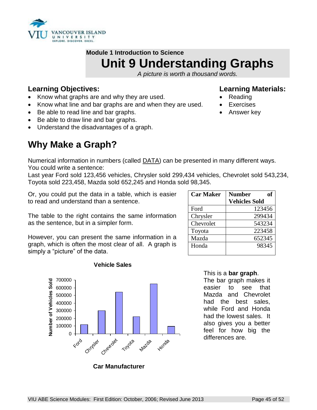

# **Module 1 Introduction to Science Unit 9 Understanding Graphs**

*A picture is worth a thousand words.*

# **Learning Objectives:**

- Know what graphs are and why they are used.
- Know what line and bar graphs are and when they are used.
- Be able to read line and bar graphs.
- Be able to draw line and bar graphs.
- Understand the disadvantages of a graph.

# **Why Make a Graph?**

# **Learning Materials:**

- Reading
- **Exercises**
- Answer key

Numerical information in numbers (called DATA) can be presented in many different ways. You could write a sentence:

Last year Ford sold 123,456 vehicles, Chrysler sold 299,434 vehicles, Chevrolet sold 543,234, Toyota sold 223,458, Mazda sold 652,245 and Honda sold 98,345.

Or, you could put the data in a table, which is easier to read and understand than a sentence.

The table to the right contains the same information as the sentence, but in a simpler form.

However, you can present the same information in a graph, which is often the most clear of all. A graph is simply a "picture" of the data.

| <b>Car Maker</b> | <b>Number</b><br>of  |
|------------------|----------------------|
|                  | <b>Vehicles Sold</b> |
| Ford             | 123456               |
| Chrysler         | 299434               |
| Chevrolet        | 543234               |
| Toyota           | 223458               |
| Mazda            | 652345               |
| Honda            | 98345                |
|                  |                      |



**Car Manufacturer**

#### This is a **bar graph**.

The bar graph makes it easier to see that Mazda and Chevrolet had the best sales, while Ford and Honda had the lowest sales. It also gives you a better feel for how big the differences are.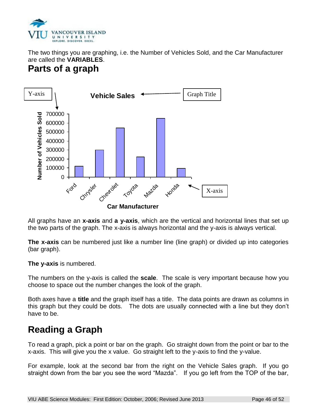

The two things you are graphing, i.e. the Number of Vehicles Sold, and the Car Manufacturer are called the **VARIABLES**.

# **Parts of a graph**



All graphs have an **x-axis** and **a y-axis**, which are the vertical and horizontal lines that set up the two parts of the graph. The x-axis is always horizontal and the y-axis is always vertical.

**The x-axis** can be numbered just like a number line (line graph) or divided up into categories (bar graph).

**The y-axis** is numbered.

The numbers on the y-axis is called the **scale**. The scale is very important because how you choose to space out the number changes the look of the graph.

Both axes have a **title** and the graph itself has a title. The data points are drawn as columns in this graph but they could be dots. The dots are usually connected with a line but they don't have to be.

# **Reading a Graph**

To read a graph, pick a point or bar on the graph. Go straight down from the point or bar to the x-axis. This will give you the x value. Go straight left to the y-axis to find the y-value.

For example, look at the second bar from the right on the Vehicle Sales graph. If you go straight down from the bar you see the word "Mazda". If you go left from the TOP of the bar,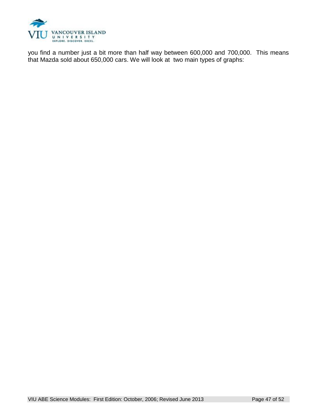

you find a number just a bit more than half way between 600,000 and 700,000. This means that Mazda sold about 650,000 cars. We will look at two main types of graphs: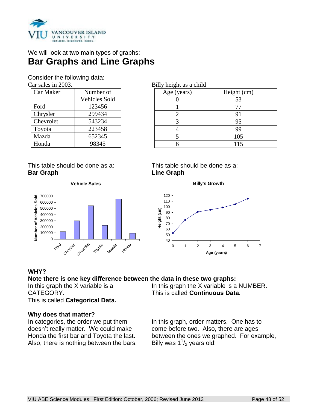

# We will look at two main types of graphs: **Bar Graphs and Line Graphs**

Consider the following data: Car sales in 2003.

| $\mathcal{L}$ ar sares III 2009. |                      |  |  |  |
|----------------------------------|----------------------|--|--|--|
| Car Maker                        | Number of            |  |  |  |
|                                  | <b>Vehicles Sold</b> |  |  |  |
| Ford                             | 123456               |  |  |  |
| Chrysler                         | 299434               |  |  |  |
| Chevrolet                        | 543234               |  |  |  |
| Toyota                           | 223458               |  |  |  |
| Mazda                            | 652345               |  |  |  |
| Honda                            | 98345                |  |  |  |

This table should be done as a: This table should be done as a: **Bar Graph** 



**Vehicle Sales**

Billy height as a child

| Age (years) | Height (cm) |
|-------------|-------------|
|             | 53          |
|             |             |
|             | 91          |
|             | 95          |
|             | 99          |
|             | 105         |
|             | 115         |

**Line Graph**

#### **Billy's Growth**



#### **WHY?**

**Note there is one key difference between the data in these two graphs:**

In this graph the X variable is a CATEGORY. This is called **Categorical Data.**

#### **Why does that matter?**

In categories, the order we put them doesn't really matter. We could make Honda the first bar and Toyota the last. Also, there is nothing between the bars.

In this graph the X variable is a NUMBER. This is called **Continuous Data.**

In this graph, order matters. One has to come before two. Also, there are ages between the ones we graphed. For example, Billy was  $1\frac{1}{2}$  years old!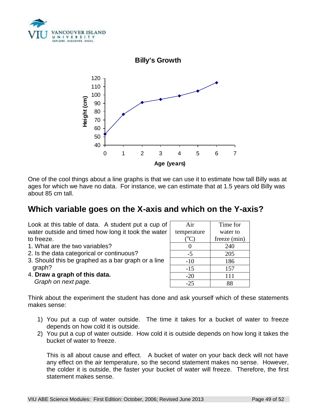



One of the cool things about a line graphs is that we can use it to estimate how tall Billy was at ages for which we have no data. For instance, we can estimate that at 1.5 years old Billy was about 85 cm tall.

# **Which variable goes on the X-axis and which on the Y-axis?**

|            | Look at this table of data. A student put a cup of |  |  |  |  |
|------------|----------------------------------------------------|--|--|--|--|
|            | water outside and timed how long it took the water |  |  |  |  |
| to freeze. |                                                    |  |  |  |  |

- 1. What are the two variables?
- 2. Is the data categorical or continuous?
- 3. Should this be graphed as a bar graph or a line graph?
- 4. **Draw a graph of this data.** *Graph on next page.*

| Air               | Time for     |
|-------------------|--------------|
| temperature       | water to     |
| $\mathcal{C}$     | freeze (min) |
| $\mathbf{\Omega}$ | 240          |
| $-5$              | 205          |
| $-10$             | 186          |
| $-15$             | 157          |
| $-20$             | 111          |
| $-25$             | QΩ           |

Think about the experiment the student has done and ask yourself which of these statements makes sense:

- 1) You put a cup of water outside. The time it takes for a bucket of water to freeze depends on how cold it is outside.
- 2) You put a cup of water outside. How cold it is outside depends on how long it takes the bucket of water to freeze.

This is all about cause and effect. A bucket of water on your back deck will not have any effect on the air temperature, so the second statement makes no sense. However, the colder it is outside, the faster your bucket of water will freeze. Therefore, the first statement makes sense.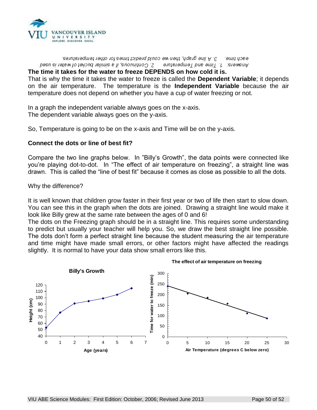

 $\gamma$  ,  $\gamma$  me disably then me cond bienct times tor other temperatures. эшп ирвэ 2. Continuous, if a similar bucket of water is used Answers: 1. Time and Temperature

#### **The time it takes for the water to freeze DEPENDS on how cold it is.**

That is why the time it takes the water to freeze is called the **Dependent Variable**; it depends on the air temperature. The temperature is the **Independent Variable** because the air temperature does not depend on whether you have a cup of water freezing or not.

In a graph the independent variable always goes on the x-axis. The dependent variable always goes on the y-axis.

So, Temperature is going to be on the x-axis and Time will be on the y-axis.

#### **Connect the dots or line of best fit?**

Compare the two line graphs below. In "Billy's Growth", the data points were connected like you're playing dot-to-dot. In "The effect of air temperature on freezing", a straight line was drawn. This is called the "line of best fit" because it comes as close as possible to all the dots.

Why the difference?

It is well known that children grow faster in their first year or two of life then start to slow down. You can see this in the graph when the dots are joined. Drawing a straight line would make it look like Billy grew at the same rate between the ages of 0 and 6!

The dots on the Freezing graph should be in a straight line. This requires some understanding to predict but usually your teacher will help you. So, we draw the best straight line possible. The dots don't form a perfect straight line because the student measuring the air temperature and time might have made small errors, or other factors might have affected the readings slightly. It is normal to have your data show small errors like this.



**The effect of air temperature on freezing**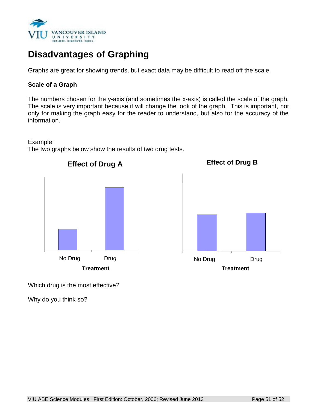

# **Disadvantages of Graphing**

Graphs are great for showing trends, but exact data may be difficult to read off the scale.

### **Scale of a Graph**

The numbers chosen for the y-axis (and sometimes the x-axis) is called the scale of the graph. The scale is very important because it will change the look of the graph. This is important, not only for making the graph easy for the reader to understand, but also for the accuracy of the information.

Example:

The two graphs below show the results of two drug tests.



**Effect of Drug B**



Which drug is the most effective?

Why do you think so?